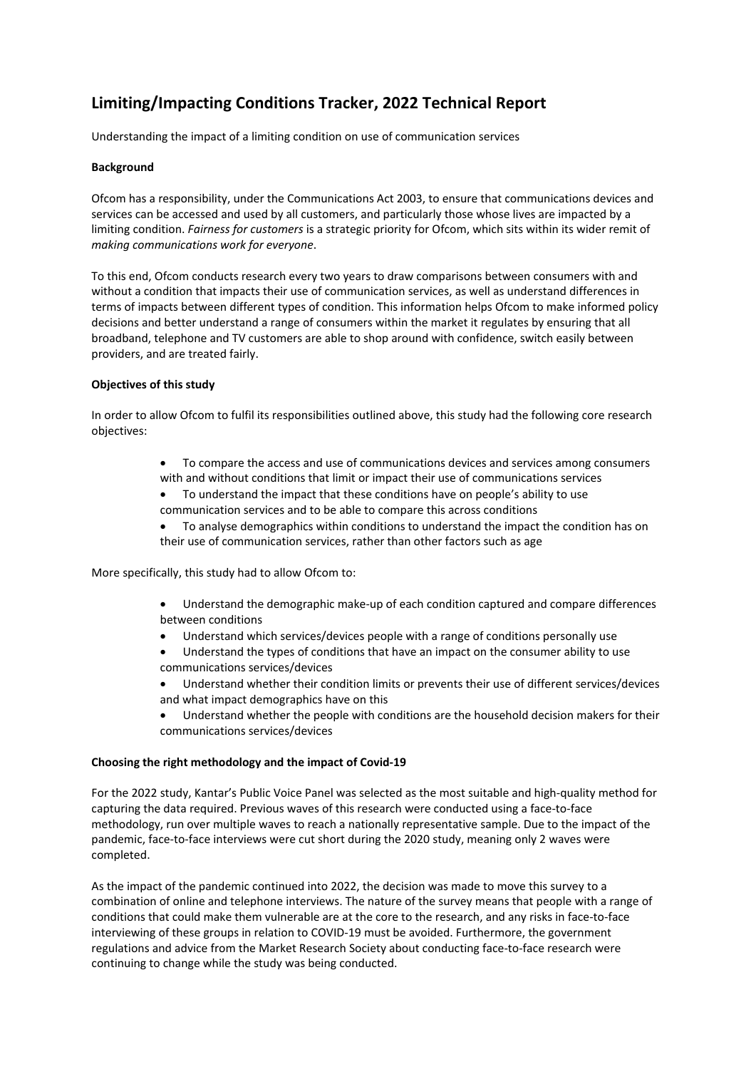# **Limiting/Impacting Conditions Tracker, 2022 Technical Report**

Understanding the impact of a limiting condition on use of communication services

## **Background**

Ofcom has a responsibility, under the Communications Act 2003, to ensure that communications devices and services can be accessed and used by all customers, and particularly those whose lives are impacted by a limiting condition. *Fairness for customers* is a strategic priority for Ofcom, which sits within its wider remit of *making communications work for everyone*.

To this end, Ofcom conducts research every two years to draw comparisons between consumers with and without a condition that impacts their use of communication services, as well as understand differences in terms of impacts between different types of condition. This information helps Ofcom to make informed policy decisions and better understand a range of consumers within the market it regulates by ensuring that all broadband, telephone and TV customers are able to shop around with confidence, switch easily between providers, and are treated fairly.

## **Objectives of this study**

In order to allow Ofcom to fulfil its responsibilities outlined above, this study had the following core research objectives:

- To compare the access and use of communications devices and services among consumers with and without conditions that limit or impact their use of communications services
- To understand the impact that these conditions have on people's ability to use communication services and to be able to compare this across conditions
- To analyse demographics within conditions to understand the impact the condition has on their use of communication services, rather than other factors such as age

More specifically, this study had to allow Ofcom to:

- Understand the demographic make-up of each condition captured and compare differences between conditions
- Understand which services/devices people with a range of conditions personally use
- Understand the types of conditions that have an impact on the consumer ability to use communications services/devices
- Understand whether their condition limits or prevents their use of different services/devices and what impact demographics have on this
- Understand whether the people with conditions are the household decision makers for their communications services/devices

## **Choosing the right methodology and the impact of Covid-19**

For the 2022 study, Kantar's Public Voice Panel was selected as the most suitable and high-quality method for capturing the data required. Previous waves of this research were conducted using a face-to-face methodology, run over multiple waves to reach a nationally representative sample. Due to the impact of the pandemic, face-to-face interviews were cut short during the 2020 study, meaning only 2 waves were completed.

As the impact of the pandemic continued into 2022, the decision was made to move this survey to a combination of online and telephone interviews. The nature of the survey means that people with a range of conditions that could make them vulnerable are at the core to the research, and any risks in face-to-face interviewing of these groups in relation to COVID-19 must be avoided. Furthermore, the government regulations and advice from the Market Research Society about conducting face-to-face research were continuing to change while the study was being conducted.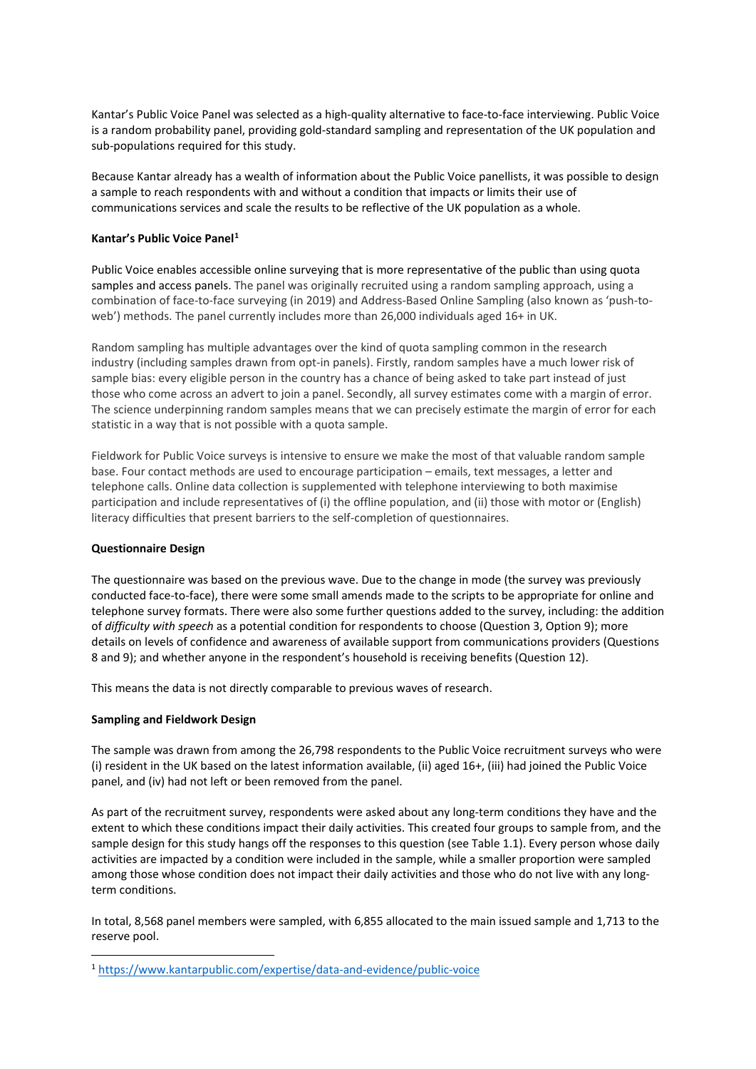Kantar's Public Voice Panel was selected as a high-quality alternative to face-to-face interviewing. Public Voice is a random probability panel, providing gold-standard sampling and representation of the UK population and sub-populations required for this study.

Because Kantar already has a wealth of information about the Public Voice panellists, it was possible to design a sample to reach respondents with and without a condition that impacts or limits their use of communications services and scale the results to be reflective of the UK population as a whole.

## **Kantar's Public Voice Panel[1](#page-1-0)**

Public Voice enables accessible online surveying that is more representative of the public than using quota samples and access panels. The panel was originally recruited using a random sampling approach, using a combination of face-to-face surveying (in 2019) and Address-Based Online Sampling (also known as 'push-toweb') methods. The panel currently includes more than 26,000 individuals aged 16+ in UK.

Random sampling has multiple advantages over the kind of quota sampling common in the research industry (including samples drawn from opt-in panels). Firstly, random samples have a much lower risk of sample bias: every eligible person in the country has a chance of being asked to take part instead of just those who come across an advert to join a panel. Secondly, all survey estimates come with a margin of error. The science underpinning random samples means that we can precisely estimate the margin of error for each statistic in a way that is not possible with a quota sample. 

Fieldwork for Public Voice surveys is intensive to ensure we make the most of that valuable random sample base. Four contact methods are used to encourage participation – emails, text messages, a letter and telephone calls. Online data collection is supplemented with telephone interviewing to both maximise participation and include representatives of (i) the offline population, and (ii) those with motor or (English) literacy difficulties that present barriers to the self-completion of questionnaires.

#### **Questionnaire Design**

The questionnaire was based on the previous wave. Due to the change in mode (the survey was previously conducted face-to-face), there were some small amends made to the scripts to be appropriate for online and telephone survey formats. There were also some further questions added to the survey, including: the addition of *difficulty with speech* as a potential condition for respondents to choose (Question 3, Option 9); more details on levels of confidence and awareness of available support from communications providers (Questions 8 and 9); and whether anyone in the respondent's household is receiving benefits (Question 12).

This means the data is not directly comparable to previous waves of research.

## **Sampling and Fieldwork Design**

The sample was drawn from among the 26,798 respondents to the Public Voice recruitment surveys who were (i) resident in the UK based on the latest information available, (ii) aged 16+, (iii) had joined the Public Voice panel, and (iv) had not left or been removed from the panel.

As part of the recruitment survey, respondents were asked about any long-term conditions they have and the extent to which these conditions impact their daily activities. This created four groups to sample from, and the sample design for this study hangs off the responses to this question (see Table 1.1). Every person whose daily activities are impacted by a condition were included in the sample, while a smaller proportion were sampled among those whose condition does not impact their daily activities and those who do not live with any longterm conditions.

In total, 8,568 panel members were sampled, with 6,855 allocated to the main issued sample and 1,713 to the reserve pool.

<span id="page-1-0"></span><sup>1</sup> <https://www.kantarpublic.com/expertise/data-and-evidence/public-voice>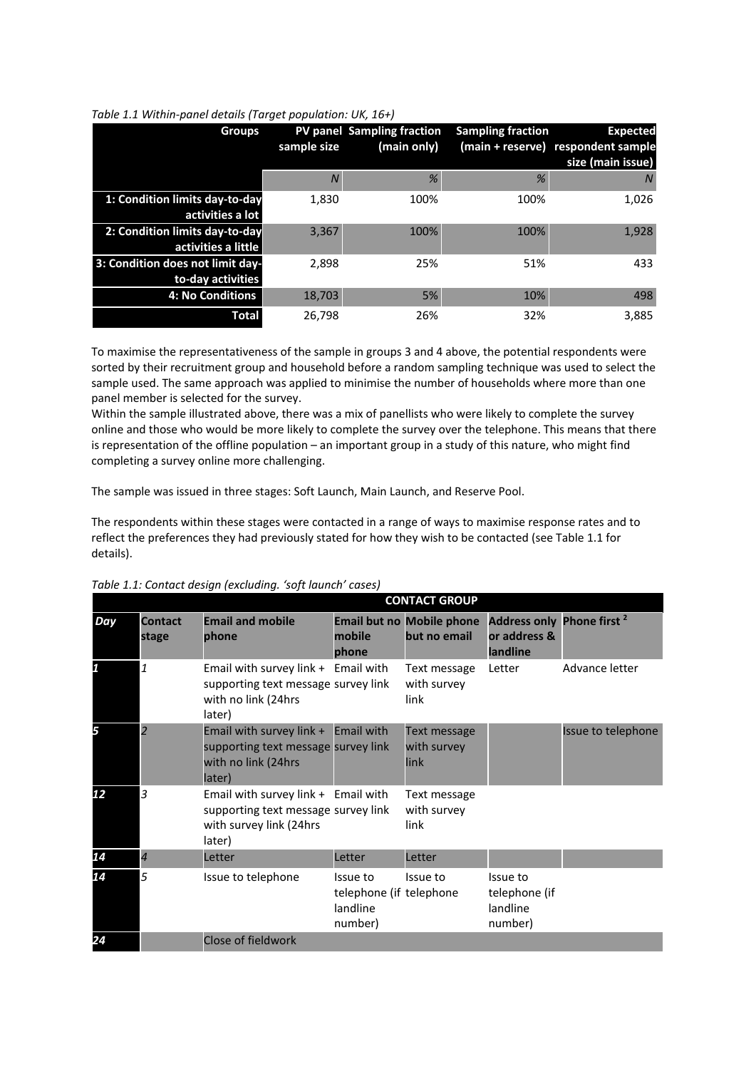| Table 1.1 Within-panel details (Target population: UK, 16+) |  |  |
|-------------------------------------------------------------|--|--|
|                                                             |  |  |

| <b>Groups</b>                    | sample size | PV panel Sampling fraction<br>(main only) | <b>Sampling fraction</b> | <b>Expected</b><br>(main + reserve) respondent sample<br>size (main issue) |
|----------------------------------|-------------|-------------------------------------------|--------------------------|----------------------------------------------------------------------------|
|                                  | N           | %                                         | %                        | N                                                                          |
| 1: Condition limits day-to-day   | 1.830       | 100%                                      | 100%                     | 1,026                                                                      |
| activities a lot                 |             |                                           |                          |                                                                            |
| 2: Condition limits day-to-day   | 3,367       | 100%                                      | 100%                     | 1,928                                                                      |
| activities a little              |             |                                           |                          |                                                                            |
| 3: Condition does not limit day- | 2.898       | 25%                                       | 51%                      | 433                                                                        |
| to-day activities                |             |                                           |                          |                                                                            |
| 4: No Conditions                 | 18,703      | 5%                                        | 10%                      | 498                                                                        |
| Total                            | 26.798      | 26%                                       | 32%                      | 3,885                                                                      |

To maximise the representativeness of the sample in groups 3 and 4 above, the potential respondents were sorted by their recruitment group and household before a random sampling technique was used to select the sample used. The same approach was applied to minimise the number of households where more than one panel member is selected for the survey.

Within the sample illustrated above, there was a mix of panellists who were likely to complete the survey online and those who would be more likely to complete the survey over the telephone. This means that there is representation of the offline population – an important group in a study of this nature, who might find completing a survey online more challenging.

The sample was issued in three stages: Soft Launch, Main Launch, and Reserve Pool.

The respondents within these stages were contacted in a range of ways to maximise response rates and to reflect the preferences they had previously stated for how they wish to be contacted (see Table 1.1 for details).

| Table 1.1: Contact design (excluding. 'soft launch' cases) |  |  |
|------------------------------------------------------------|--|--|
|                                                            |  |  |

|     |                         |                                                                                                                 |                                                            | <b>CONTACT GROUP</b>                             |                                                                   |                    |
|-----|-------------------------|-----------------------------------------------------------------------------------------------------------------|------------------------------------------------------------|--------------------------------------------------|-------------------------------------------------------------------|--------------------|
| Day | <b>Contact</b><br>stage | <b>Email and mobile</b><br>phone                                                                                | mobile<br>phone                                            | <b>Email but no Mobile phone</b><br>but no email | Address only Phone first <sup>2</sup><br>or address &<br>landline |                    |
| 1   | $\mathbf{1}$            | Email with survey link + Email with<br>supporting text message survey link<br>with no link (24hrs<br>later)     |                                                            | Text message<br>with survey<br>link              | Letter                                                            | Advance letter     |
| 5   | $\overline{2}$          | Email with survey link + Email with<br>supporting text message survey link<br>with no link (24hrs<br>later)     |                                                            | Text message<br>with survey<br>link              |                                                                   | Issue to telephone |
| 12  | 3                       | Email with survey link + Email with<br>supporting text message survey link<br>with survey link (24hrs<br>later) |                                                            | Text message<br>with survey<br>link              |                                                                   |                    |
| 14  | $\overline{4}$          | Letter                                                                                                          | Letter                                                     | Letter                                           |                                                                   |                    |
| 14  | 5                       | Issue to telephone                                                                                              | Issue to<br>telephone (if telephone<br>landline<br>number) | Issue to                                         | Issue to<br>telephone (if<br>landline<br>number)                  |                    |
| 24  |                         | Close of fieldwork                                                                                              |                                                            |                                                  |                                                                   |                    |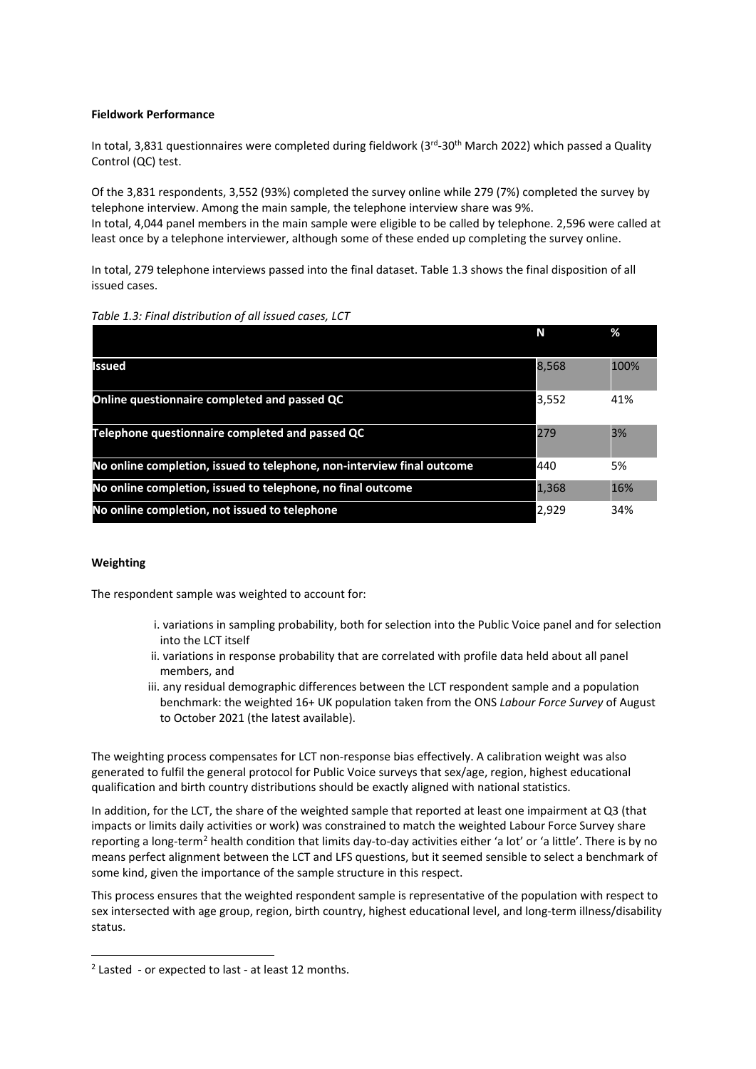## **Fieldwork Performance**

In total, 3,831 questionnaires were completed during fieldwork (3rd-30<sup>th</sup> March 2022) which passed a Quality Control (QC) test.

Of the 3,831 respondents, 3,552 (93%) completed the survey online while 279 (7%) completed the survey by telephone interview. Among the main sample, the telephone interview share was 9%. In total, 4,044 panel members in the main sample were eligible to be called by telephone. 2,596 were called at least once by a telephone interviewer, although some of these ended up completing the survey online.

In total, 279 telephone interviews passed into the final dataset. Table 1.3 shows the final disposition of all issued cases.

| Table 1.3: Final distribution of all issued cases, LCT |  |  |  |
|--------------------------------------------------------|--|--|--|
|--------------------------------------------------------|--|--|--|

|                                                                        | N     | ℅    |
|------------------------------------------------------------------------|-------|------|
| <b>Issued</b>                                                          | 8,568 | 100% |
| Online questionnaire completed and passed QC                           | 3,552 | 41%  |
| Telephone questionnaire completed and passed QC                        | 279   | 3%   |
| No online completion, issued to telephone, non-interview final outcome | 440   | 5%   |
| No online completion, issued to telephone, no final outcome            | 1,368 | 16%  |
| No online completion, not issued to telephone                          | 2,929 | 34%  |

### **Weighting**

The respondent sample was weighted to account for:

- i. variations in sampling probability, both for selection into the Public Voice panel and for selection into the LCT itself
- ii. variations in response probability that are correlated with profile data held about all panel members, and
- iii. any residual demographic differences between the LCT respondent sample and a population benchmark: the weighted 16+ UK population taken from the ONS *Labour Force Survey* of August to October 2021 (the latest available).

The weighting process compensates for LCT non-response bias effectively. A calibration weight was also generated to fulfil the general protocol for Public Voice surveys that sex/age, region, highest educational qualification and birth country distributions should be exactly aligned with national statistics.

In addition, for the LCT, the share of the weighted sample that reported at least one impairment at Q3 (that impacts or limits daily activities or work) was constrained to match the weighted Labour Force Survey share reporting a long-term<sup>[2](#page-3-0)</sup> health condition that limits day-to-day activities either 'a lot' or 'a little'. There is by no means perfect alignment between the LCT and LFS questions, but it seemed sensible to select a benchmark of some kind, given the importance of the sample structure in this respect.

This process ensures that the weighted respondent sample is representative of the population with respect to sex intersected with age group, region, birth country, highest educational level, and long-term illness/disability status.

<span id="page-3-0"></span> $2$  Lasted - or expected to last - at least 12 months.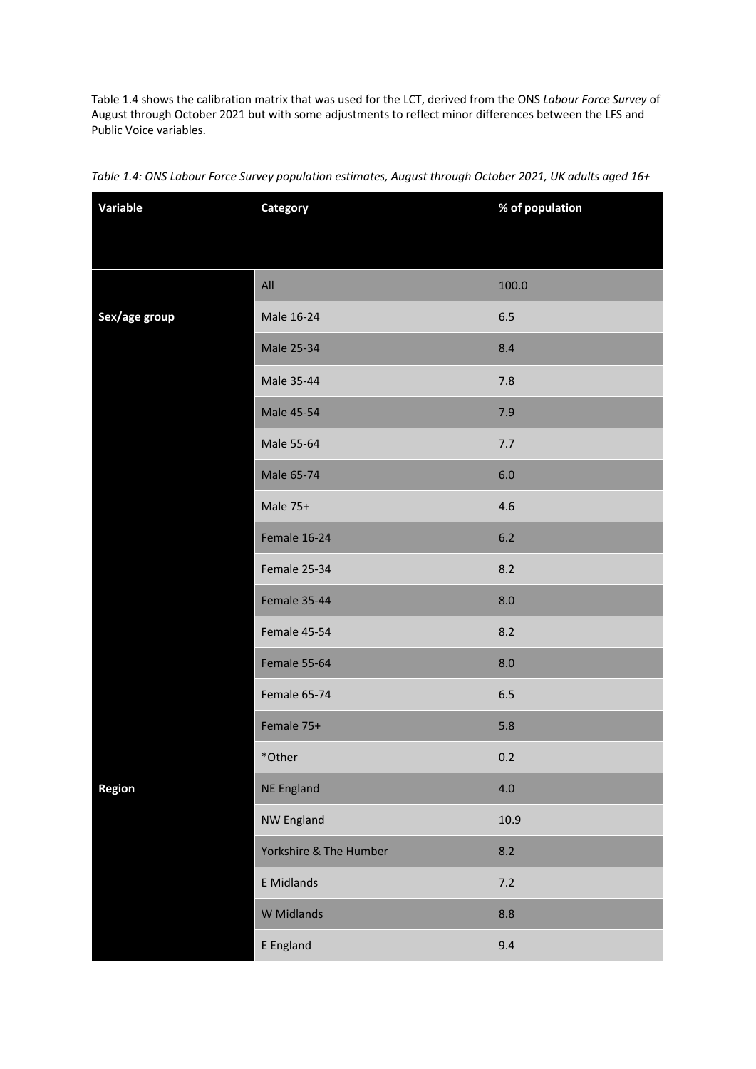Table 1.4 shows the calibration matrix that was used for the LCT, derived from the ONS *Labour Force Survey* of August through October 2021 but with some adjustments to reflect minor differences between the LFS and Public Voice variables.

| Variable      | Category               | % of population |
|---------------|------------------------|-----------------|
|               |                        |                 |
|               |                        |                 |
|               | All                    | 100.0           |
| Sex/age group | Male 16-24             | 6.5             |
|               | Male 25-34             | 8.4             |
|               | Male 35-44             | 7.8             |
|               | <b>Male 45-54</b>      | 7.9             |
|               | Male 55-64             | 7.7             |
|               | Male 65-74             | $6.0\,$         |
|               | Male 75+               | 4.6             |
|               | Female 16-24           | 6.2             |
|               | Female 25-34           | 8.2             |
|               | Female 35-44           | 8.0             |
|               | Female 45-54           | 8.2             |
|               | Female 55-64           | 8.0             |
|               | Female 65-74           | 6.5             |
|               | Female 75+             | 5.8             |
|               | *Other                 | 0.2             |
| Region        | <b>NE England</b>      | 4.0             |
|               | NW England             | 10.9            |
|               | Yorkshire & The Humber | 8.2             |
|               | <b>E</b> Midlands      | 7.2             |
|               | W Midlands             | 8.8             |
|               | E England              | 9.4             |

# *Table 1.4: ONS Labour Force Survey population estimates, August through October 2021, UK adults aged 16+*